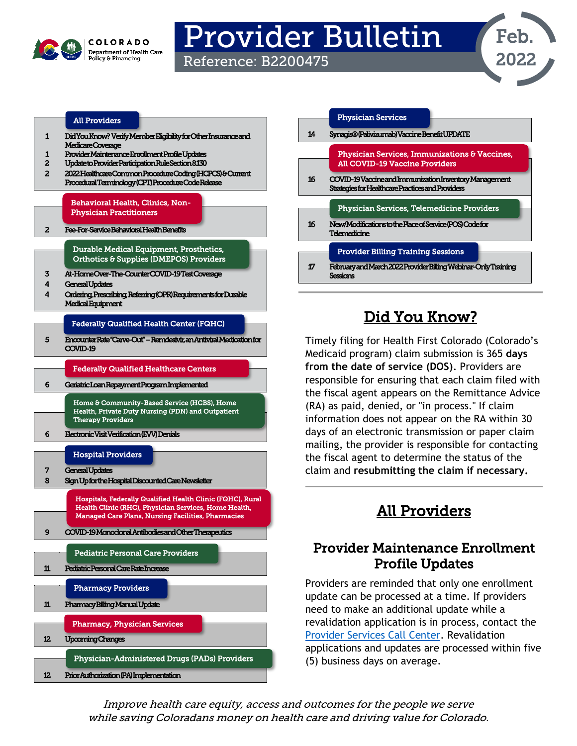

# Provider Bulletin

Reference: B2200475



#### [All Providers](#page-0-2)

- [1 Did You Know? V](#page-0-0)erify Member Eligibility for Other Insurance and Medicare Coverage
- [1 Provider Maintenance Enrollment Profile Updates](#page-0-1)
- [2 Update to Provider Participation Rule Section 8.130](#page-1-0)
- 2 2022 Healthcare Common Procedure Coding (HCPCS) & Current [Procedural Terminology \(CPT\) Procedure Code Release](#page-1-1)

#### [Behavioral Health, Clinics, Non-](#page-1-3)[Physician Practitioners](#page-1-3)

[2 Fee-For-Service Behavioral Health Benefits](#page-1-2) 

[3 At-Home Over-The-Counter COVID-19 Test Coverage](#page-2-0)  [Durable Medical Equipment, Prosthetics,](#page-2-1)  [Orthotics & Supplies \(DMEPOS\) Providers](#page-2-1) 

- [4 General Updates](#page-3-0)
- [4 Ordering, Prescribing, Referring \(OPR\) Requirements for Durable](#page-3-1)  [Medical Equipment](#page-3-1)

#### [Federally Qualified Health Center \(FQHC\)](#page-4-1)

[5](#page-4-0) Encounter Rate "Carve-Out" – [Remdesivir, an Antiviral Medication for](#page-4-0)  [COVID-19](#page-4-0) 

#### [Federally Qualified Healthcare Centers](#page-5-2)

6 Geriatric Loan Repayment Program Implemented

[Home & Community-Base](#page-5-2)[d Service \(HCBS\), Home](#page-5-3)  [Health, Private Duty Nursing \(PDN\) and Outpatient](#page-5-3)  [Therapy Providers](#page-5-3) 

[6 Electronic Visit Verification \(EVV\) Denials](#page-5-1)

#### [Hospital Providers](#page-6-1)



|    | <b>Physician Services</b>                                                                                   |
|----|-------------------------------------------------------------------------------------------------------------|
| 14 | Synagis® (Palivizumab) Vaccine Benefit UPDATE                                                               |
|    | <b>Physician Services, Immunizations &amp; Vaccines,</b>                                                    |
|    | <b>All COVID-19 Vaccine Providers</b>                                                                       |
| 16 | COVID-19 Vaccine and Immunization Inventory Management<br>Strategies for Healthcare Practices and Providers |
|    | <b>Physician Services, Telemedicine Providers</b>                                                           |
| 16 | New/Modifications to the Place of Service (POS) Code for<br>Telemedicine                                    |
|    | <b>Provider Billing Training Sessions</b>                                                                   |
| 17 | February and March 2022 Provider Billing Webinar-Only Training<br>Sections                                  |

# Did You Know?

<span id="page-0-0"></span>Timely filing for Health First Colorado (Colorado's Medicaid program) claim submission is 365 **days from the date of service (DOS)**. Providers are responsible for ensuring that each claim filed with the fiscal agent appears on the Remittance Advice (RA) as paid, denied, or "in process." If claim information does not appear on the RA within 30 days of an electronic transmission or paper claim mailing, the provider is responsible for contacting the fiscal agent to determine the status of the claim and **resubmitting the claim if necessary.**

# All Providers

#### <span id="page-0-2"></span><span id="page-0-1"></span>Provider Maintenance Enrollment Profile Updates

Providers are reminded that only one enrollment update can be processed at a time. If providers need to make an additional update while a revalidation application is in process, contact the [Provider Services Call Center.](https://hcpf.colorado.gov/provider-help) Revalidation applications and updates are processed within five (5) business days on average.

Improve health care equity, access and outcomes for the people we serve while saving Coloradans money on health care and driving value for Colorado.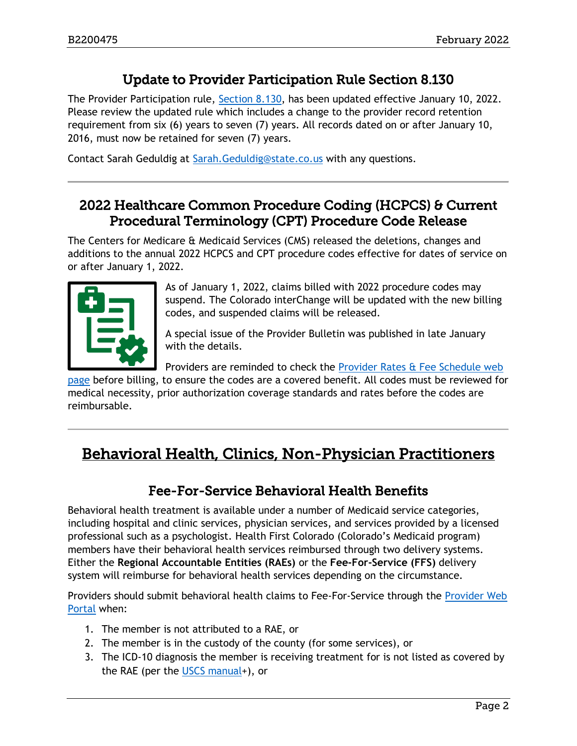## Update to Provider Participation Rule Section 8.130

<span id="page-1-0"></span>The Provider Participation rule, [Section 8.130,](https://www.sos.state.co.us/CCR/DisplayRule.do?action=ruleinfo&ruleId=2918&deptID=7&agencyID=69&deptName=Department%20of%20Health%20Care%20Policy%20and%20Financing&agencyName=Medical%20Services%20Board%20(Volume%208;%20Medical%20Assistance,%20Children%27s%20Health%20Plan)&seriesNum=10%20CCR%202505-10%208.100) has been updated effective January 10, 2022. Please review the updated rule which includes a change to the provider record retention requirement from six (6) years to seven (7) years. All records dated on or after January 10, 2016, must now be retained for seven (7) years.

Contact Sarah Geduldig at [Sarah.Geduldig@state.co.us](mailto:Sarah.Geduldig@state.co.us) with any questions.

#### <span id="page-1-1"></span>2022 Healthcare Common Procedure Coding (HCPCS) & Current Procedural Terminology (CPT) Procedure Code Release

The Centers for Medicare & Medicaid Services (CMS) released the deletions, changes and additions to the annual 2022 HCPCS and CPT procedure codes effective for dates of service on or after January 1, 2022.



As of January 1, 2022, claims billed with 2022 procedure codes may suspend. The Colorado interChange will be updated with the new billing codes, and suspended claims will be released.

A special issue of the Provider Bulletin was published in late January with the details.

Providers are reminded to check the [Provider Rates & Fee Schedule web](https://hcpf.colorado.gov/provider-rates-fee-schedule) 

[page](https://hcpf.colorado.gov/provider-rates-fee-schedule) before billing, to ensure the codes are a covered benefit. All codes must be reviewed for medical necessity, prior authorization coverage standards and rates before the codes are reimbursable.

# <span id="page-1-3"></span><span id="page-1-2"></span>Behavioral Health, Clinics, Non-Physician Practitioners

#### Fee-For-Service Behavioral Health Benefits

Behavioral health treatment is available under a number of Medicaid service categories, including hospital and clinic services, physician services, and services provided by a licensed professional such as a psychologist. Health First Colorado (Colorado's Medicaid program) members have their behavioral health services reimbursed through two delivery systems. Either the **Regional Accountable Entities (RAEs)** or the **Fee-For-Service (FFS)** delivery system will reimburse for behavioral health services depending on the circumstance.

Providers should submit behavioral health claims to Fee-For-Service through the [Provider Web](https://colorado-hcp-portal.xco.dcs-usps.com/hcp/provider/Home/tabid/135/Default.aspx)  [Portal](https://colorado-hcp-portal.xco.dcs-usps.com/hcp/provider/Home/tabid/135/Default.aspx) when:

- 1. The member is not attributed to a RAE, or
- 2. The member is in the custody of the county (for some services), or
- 3. The ICD-10 diagnosis the member is receiving treatment for is not listed as covered by the RAE (per the [USCS manual+](https://hcpf.colorado.gov/accountable-care-collaborative-phase-ii-provider-and-stakeholder-resource-center#Behavioral%20Health%20Services)), or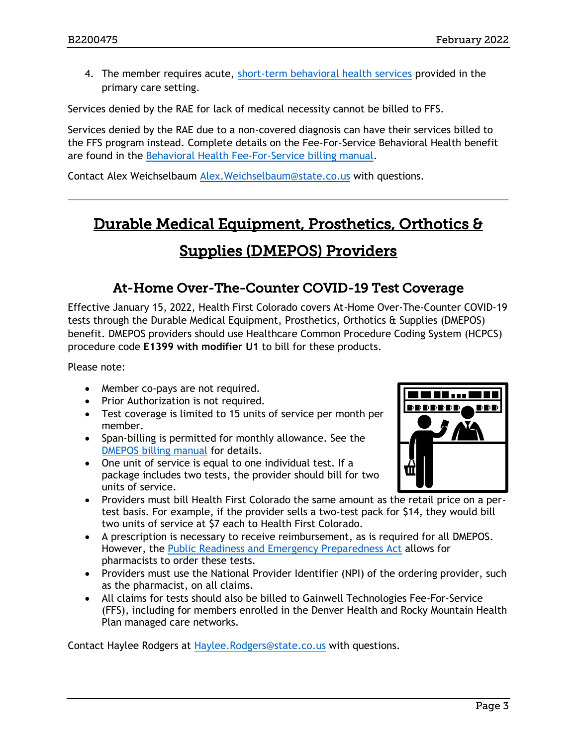4. The member requires acute, [short-term behavioral health services](https://hcpf.colorado.gov/sites/hcpf/files/Short-term%20Behavioral%20Health%20Services%20in%20Primary%20Care%20Fact%20Sheet%20Jan%202019_0.pdf) provided in the primary care setting.

Services denied by the RAE for lack of medical necessity cannot be billed to FFS.

Services denied by the RAE due to a non-covered diagnosis can have their services billed to the FFS program instead. Complete details on the Fee-For-Service Behavioral Health benefit are found in the [Behavioral Health Fee-For-Service billing manual.](https://hcpf.colorado.gov/behavioral-health-ffs-manual)

Contact Alex Weichselbaum [Alex.Weichselbaum@state.co.us](mailto:Alex.Weichselbaum@state.co.us) with questions.

# <span id="page-2-1"></span>Durable Medical Equipment, Prosthetics, Orthotics & Supplies (DMEPOS) Providers

#### At-Home Over-The-Counter COVID-19 Test Coverage

<span id="page-2-0"></span>Effective January 15, 2022, Health First Colorado covers At-Home Over-The-Counter COVID-19 tests through the Durable Medical Equipment, Prosthetics, Orthotics & Supplies (DMEPOS) benefit. DMEPOS providers should use Healthcare Common Procedure Coding System (HCPCS) procedure code **E1399 with modifier U1** to bill for these products.

Please note:

- Member co-pays are not required.
- Prior Authorization is not required.
- Test coverage is limited to 15 units of service per month per member.
- Span-billing is permitted for monthly allowance. See the [DMEPOS billing manual](https://hcpf.colorado.gov/DMEPOS-manual#Span%20Billing%20for%20Certain%20Supplies) for details.
- One unit of service is equal to one individual test. If a package includes two tests, the provider should bill for two units of service.



- Providers must bill Health First Colorado the same amount as the retail price on a pertest basis. For example, if the provider sells a two-test pack for \$14, they would bill two units of service at \$7 each to Health First Colorado.
- A prescription is necessary to receive reimbursement, as is required for all DMEPOS. However, the [Public Readiness and Emergency Preparedness Act](https://naspa.us/resource/federal-prep-act-actions/) allows for pharmacists to order these tests.
- Providers must use the National Provider Identifier (NPI) of the ordering provider, such as the pharmacist, on all claims.
- All claims for tests should also be billed to Gainwell Technologies Fee-For-Service (FFS), including for members enrolled in the Denver Health and Rocky Mountain Health Plan managed care networks.

Contact Haylee Rodgers at [Haylee.Rodgers@state.co.us](mailto:Haylee.Rodgers@state.co.us) with questions.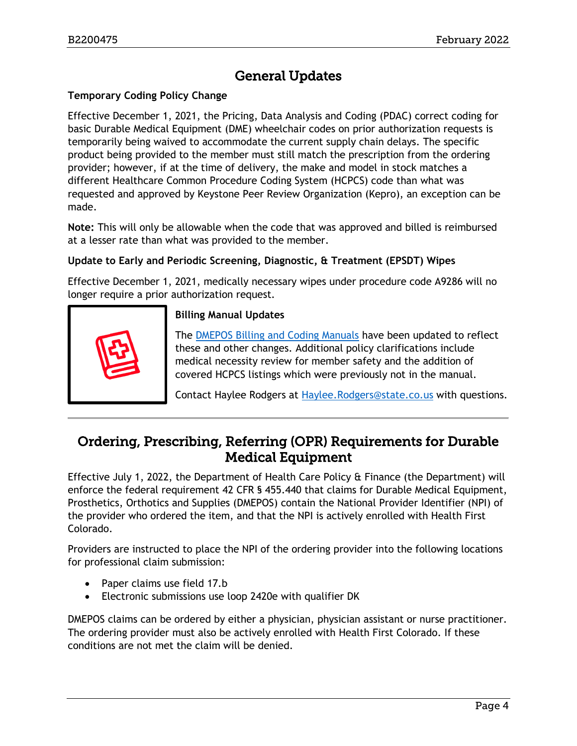# General Updates

#### <span id="page-3-0"></span>**Temporary Coding Policy Change**

Effective December 1, 2021, the Pricing, Data Analysis and Coding (PDAC) correct coding for basic Durable Medical Equipment (DME) wheelchair codes on prior authorization requests is temporarily being waived to accommodate the current supply chain delays. The specific product being provided to the member must still match the prescription from the ordering provider; however, if at the time of delivery, the make and model in stock matches a different Healthcare Common Procedure Coding System (HCPCS) code than what was requested and approved by Keystone Peer Review Organization (Kepro), an exception can be made.

**Note:** This will only be allowable when the code that was approved and billed is reimbursed at a lesser rate than what was provided to the member.

#### **Update to Early and Periodic Screening, Diagnostic, & Treatment (EPSDT) Wipes**

Effective December 1, 2021, medically necessary wipes under procedure code A9286 will no longer require a prior authorization request.



#### **Billing Manual Updates**

The [DMEPOS Billing and Coding Manuals](https://hcpf.colorado.gov/DMEPOS-manual) have been updated to reflect these and other changes. Additional policy clarifications include medical necessity review for member safety and the addition of covered HCPCS listings which were previously not in the manual.

Contact Haylee Rodgers at [Haylee.Rodgers@state.co.us](mailto:Haylee.Rodgers@state.co.us) with questions.

#### <span id="page-3-1"></span>Ordering, Prescribing, Referring (OPR) Requirements for Durable Medical Equipment

Effective July 1, 2022, the Department of Health Care Policy & Finance (the Department) will enforce the federal requirement 42 CFR § 455.440 that claims for Durable Medical Equipment, Prosthetics, Orthotics and Supplies (DMEPOS) contain the National Provider Identifier (NPI) of the provider who ordered the item, and that the NPI is actively enrolled with Health First Colorado.

Providers are instructed to place the NPI of the ordering provider into the following locations for professional claim submission:

- Paper claims use field 17.b
- Electronic submissions use loop 2420e with qualifier DK

DMEPOS claims can be ordered by either a physician, physician assistant or nurse practitioner. The ordering provider must also be actively enrolled with Health First Colorado. If these conditions are not met the claim will be denied.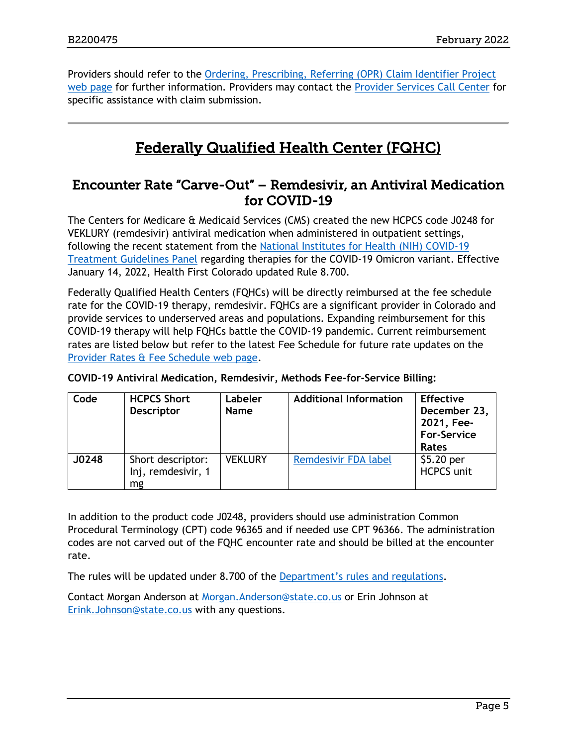Providers should refer to the [Ordering, Prescribing, Referring \(OPR\) Claim Identifier Project](https://hcpf.colorado.gov/opr-claims)  [web page](https://hcpf.colorado.gov/opr-claims) for further information. Providers may contact the [Provider Services Call Center](https://hcpf.colorado.gov/provider-help) for specific assistance with claim submission.

# Federally Qualified Health Center (FQHC)

#### <span id="page-4-1"></span><span id="page-4-0"></span>Encounter Rate "Carve-Out" – Remdesivir, an Antiviral Medication for COVID-19

The Centers for Medicare & Medicaid Services (CMS) created the new HCPCS code J0248 for VEKLURY (remdesivir) antiviral medication when administered in outpatient settings, following the recent statement from the [National Institutes for Health \(NIH\) COVID-19](https://www.covid19treatmentguidelines.nih.gov/therapies/antiviral-therapy/remdesivir/)  [Treatment Guidelines Panel](https://www.covid19treatmentguidelines.nih.gov/therapies/antiviral-therapy/remdesivir/) regarding therapies for the COVID-19 Omicron variant. Effective January 14, 2022, Health First Colorado updated Rule 8.700.

Federally Qualified Health Centers (FQHCs) will be directly reimbursed at the fee schedule rate for the COVID-19 therapy, remdesivir. FQHCs are a significant provider in Colorado and provide services to underserved areas and populations. Expanding reimbursement for this COVID-19 therapy will help FQHCs battle the COVID-19 pandemic. Current reimbursement rates are listed below but refer to the latest Fee Schedule for future rate updates on the [Provider Rates & Fee Schedule web page.](https://www.colorado.gov/hcpf/provider-rates-fee-schedule)

| Code  | <b>HCPCS Short</b><br><b>Descriptor</b>       | Labeler<br><b>Name</b> | <b>Additional Information</b> | <b>Effective</b><br>December 23,<br>2021, Fee-<br><b>For-Service</b><br><b>Rates</b> |
|-------|-----------------------------------------------|------------------------|-------------------------------|--------------------------------------------------------------------------------------|
| J0248 | Short descriptor:<br>Inj, remdesivir, 1<br>mg | <b>VEKLURY</b>         | <b>Remdesivir FDA label</b>   | \$5.20 per<br><b>HCPCS unit</b>                                                      |

#### **COVID-19 Antiviral Medication, Remdesivir, Methods Fee-for-Service Billing:**

In addition to the product code J0248, providers should use administration Common Procedural Terminology (CPT) code 96365 and if needed use CPT 96366. The administration codes are not carved out of the FQHC encounter rate and should be billed at the encounter rate.

The rules will be updated under 8.700 of the [Department's rules and regulations](https://hcpf.colorado.gov/department-program-rules-and-regulations).

Contact Morgan Anderson at [Morgan.Anderson@state.co.us](mailto:Morgan.Anderson@state.co.us) or Erin Johnson at [Erink.Johnson@state.co.us](mailto:Erink.Johnson@state.co.us) with any questions.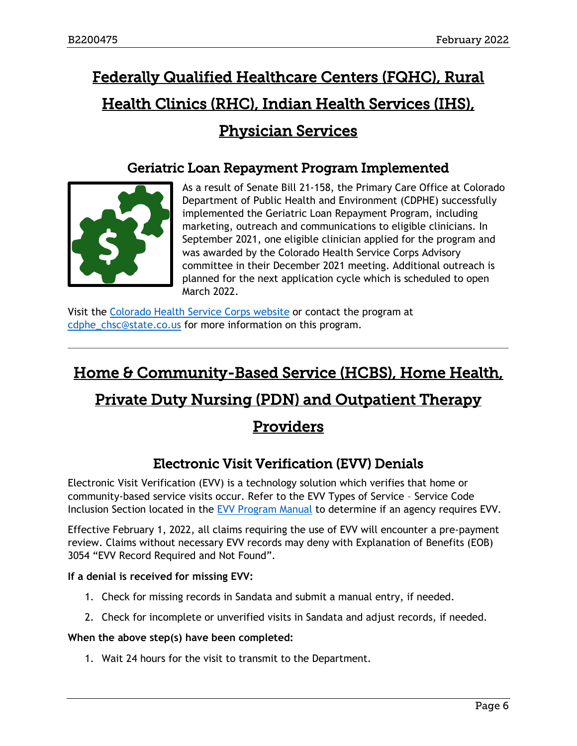# <span id="page-5-2"></span>Federally Qualified Healthcare Centers (FQHC), Rural Health Clinics (RHC), Indian Health Services (IHS), Physician Services

#### Geriatric Loan Repayment Program Implemented

<span id="page-5-0"></span>

As a result of Senate Bill 21-158, the Primary Care Office at Colorado Department of Public Health and Environment (CDPHE) successfully implemented the Geriatric Loan Repayment Program, including marketing, outreach and communications to eligible clinicians. In September 2021, one eligible clinician applied for the program and was awarded by the Colorado Health Service Corps Advisory committee in their December 2021 meeting. Additional outreach is planned for the next application cycle which is scheduled to open March 2022.

Visit the [Colorado Health Service Corps website](https://cdphe.colorado.gov/prevention-and-wellness/health-access/colorado-health-service-corps/colorado-health-service-corps-0) or contact the program at [cdphe\\_chsc@state.co.us](mailto:cdphe_chsc@state.co.us) for more information on this program.

# <span id="page-5-3"></span>Home & Community-Based Service (HCBS), Home Health,

# Private Duty Nursing (PDN) and Outpatient Therapy

# Providers

# Electronic Visit Verification (EVV) Denials

<span id="page-5-1"></span>Electronic Visit Verification (EVV) is a technology solution which verifies that home or community-based service visits occur. Refer to the EVV Types of Service – Service Code Inclusion Section located in the [EVV Program Manual](https://hcpf.colorado.gov/electronic-visit-verification-program-manual) to determine if an agency requires EVV.

Effective February 1, 2022, all claims requiring the use of EVV will encounter a pre-payment review. Claims without necessary EVV records may deny with Explanation of Benefits (EOB) 3054 "EVV Record Required and Not Found".

#### **If a denial is received for missing EVV:**

- 1. Check for missing records in Sandata and submit a manual entry, if needed.
- 2. Check for incomplete or unverified visits in Sandata and adjust records, if needed.

#### **When the above step(s) have been completed:**

1. Wait 24 hours for the visit to transmit to the Department.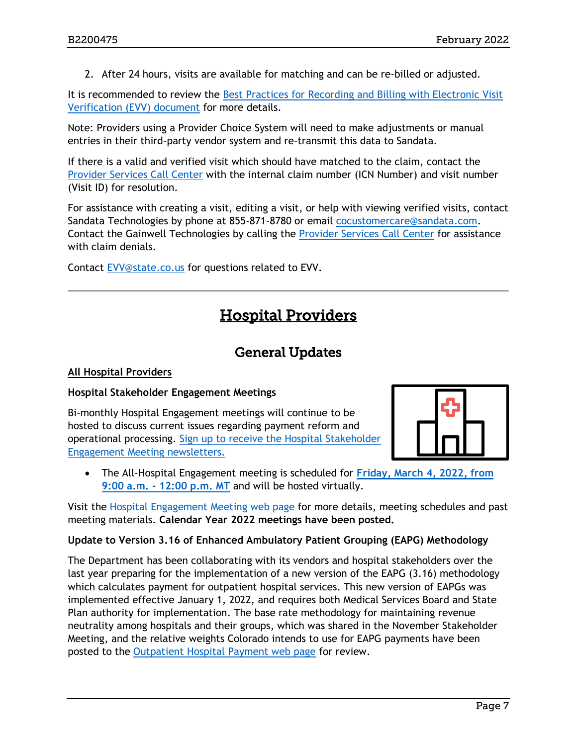2. After 24 hours, visits are available for matching and can be re-billed or adjusted.

It is recommended to review the [Best Practices for Recording and Billing with Electronic Visit](https://hcpf.colorado.gov/sites/hcpf/files/Electronic%20Visit%20Verification-Best%20Practices%20for%20Recording%20%26%20Billing-June%202021_0.pdf)  [Verification \(EVV\) document](https://hcpf.colorado.gov/sites/hcpf/files/Electronic%20Visit%20Verification-Best%20Practices%20for%20Recording%20%26%20Billing-June%202021_0.pdf) for more details.

Note: Providers using a Provider Choice System will need to make adjustments or manual entries in their third-party vendor system and re-transmit this data to Sandata.

If there is a valid and verified visit which should have matched to the claim, contact the [Provider Services Call Center](https://hcpf.colorado.gov/provider-help) with the internal claim number (ICN Number) and visit number (Visit ID) for resolution.

For assistance with creating a visit, editing a visit, or help with viewing verified visits, contact Sandata Technologies by phone at 855-871-8780 or email [cocustomercare@sandata.com.](mailto:cocustomercare@sandata.com) Contact the Gainwell Technologies by calling the [Provider Services Call Center](https://hcpf.colorado.gov/provider-help) for assistance with claim denials.

<span id="page-6-1"></span>Contact [EVV@state.co.us](mailto:EVV@state.co.us) for questions related to EVV.

# Hospital Providers

#### General Updates

#### <span id="page-6-0"></span>**All Hospital Providers**

#### **Hospital Stakeholder Engagement Meetings**

Bi-monthly Hospital Engagement meetings will continue to be hosted to discuss current issues regarding payment reform and operational processing. [Sign up to receive the Hospital Stakeholder](https://visitor.r20.constantcontact.com/manage/optin?v=001HfxrbpGNWZ0lZnPp6t3PG2s9XPNl8ZvgFdjsKvSnhIy8z9JmHyp6DeoLJ3saT6x0SeqRR1ub149uoXxe1ok4jTzfMSQ0BN7S5vcLiRO7gdY%3D)  [Engagement Meeting newsletters.](https://visitor.r20.constantcontact.com/manage/optin?v=001HfxrbpGNWZ0lZnPp6t3PG2s9XPNl8ZvgFdjsKvSnhIy8z9JmHyp6DeoLJ3saT6x0SeqRR1ub149uoXxe1ok4jTzfMSQ0BN7S5vcLiRO7gdY%3D)



• The All-Hospital Engagement meeting is scheduled for **[Friday, March 4, 2022, from](https://hcpf.colorado.gov/hospital-stakeholder-engagement-meetings)  9:00 a.m. - [12:00 p.m. MT](https://hcpf.colorado.gov/hospital-stakeholder-engagement-meetings)** and will be hosted virtually.

Visit the [Hospital Engagement Meeting](https://hcpf.colorado.gov/hospital-stakeholder-engagement-meetings) web page for more details, meeting schedules and past meeting materials. **Calendar Year 2022 meetings have been posted.**

#### **Update to Version 3.16 of Enhanced Ambulatory Patient Grouping (EAPG) Methodology**

The Department has been collaborating with its vendors and hospital stakeholders over the last year preparing for the implementation of a new version of the EAPG (3.16) methodology which calculates payment for outpatient hospital services. This new version of EAPGs was implemented effective January 1, 2022, and requires both Medical Services Board and State Plan authority for implementation. The base rate methodology for maintaining revenue neutrality among hospitals and their groups, which was shared in the November Stakeholder Meeting, and the relative weights Colorado intends to use for EAPG payments have been posted to the [Outpatient Hospital Payment web page](https://hcpf.colorado.gov/outpatient-hospital-payment) for review.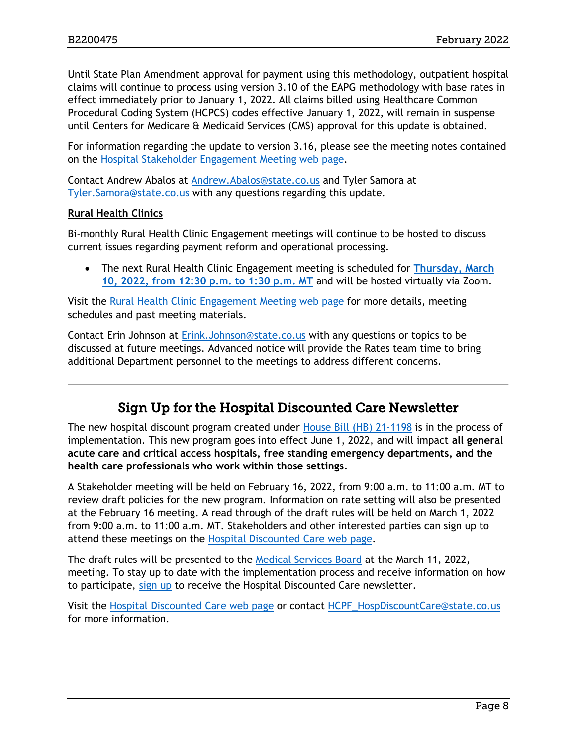Until State Plan Amendment approval for payment using this methodology, outpatient hospital claims will continue to process using version 3.10 of the EAPG methodology with base rates in effect immediately prior to January 1, 2022. All claims billed using Healthcare Common Procedural Coding System (HCPCS) codes effective January 1, 2022, will remain in suspense until Centers for Medicare & Medicaid Services (CMS) approval for this update is obtained.

For information regarding the update to version 3.16, please see the meeting notes contained on the [Hospital Stakeholder Engagement Meeting web page.](https://hcpf.colorado.gov/hospital-stakeholder-engagement-meetings)

Contact Andrew Abalos at [Andrew.Abalos@state.co.us](mailto:Andrew.Abalos@state.co.us) and Tyler Samora at [Tyler.Samora@state.co.us](mailto:Tyler.Samora@state.co.us) with any questions regarding this update.

#### **Rural Health Clinics**

Bi-monthly Rural Health Clinic Engagement meetings will continue to be hosted to discuss current issues regarding payment reform and operational processing.

• The next Rural Health Clinic Engagement meeting is scheduled for **[Thursday, March](https://hcpf.colorado.gov/rural-hospital-and-rural-health-clinics)  [10, 2022, from 12:30 p.m. to 1:30 p.m. MT](https://hcpf.colorado.gov/rural-hospital-and-rural-health-clinics)** and will be hosted virtually via Zoom.

Visit the [Rural Health Clinic Engagement Meeting web page](https://hcpf.colorado.gov/rural-hospital-and-rural-health-clinics) for more details, meeting schedules and past meeting materials.

Contact Erin Johnson at [Erink.Johnson@state.co.us](mailto:Erink.Johnson@state.co.us) with any questions or topics to be discussed at future meetings. Advanced notice will provide the Rates team time to bring additional Department personnel to the meetings to address different concerns.

#### Sign Up for the Hospital Discounted Care Newsletter

<span id="page-7-0"></span>The new hospital discount program created under [House Bill \(HB\) 21-1198](https://leg.colorado.gov/bills/hb21-1198) is in the process of implementation. This new program goes into effect June 1, 2022, and will impact **all general acute care and critical access hospitals, free standing emergency departments, and the health care professionals who work within those settings**.

A Stakeholder meeting will be held on February 16, 2022, from 9:00 a.m. to 11:00 a.m. MT to review draft policies for the new program. Information on rate setting will also be presented at the February 16 meeting. A read through of the draft rules will be held on March 1, 2022 from 9:00 a.m. to 11:00 a.m. MT. Stakeholders and other interested parties can sign up to attend these meetings on the [Hospital Discounted Care web page.](https://hcpf.colorado.gov/hospital-discounted-care)

The draft rules will be presented to the [Medical Services Board](https://hcpf.colorado.gov/medical-services-board) at the March 11, 2022, meeting. To stay up to date with the implementation process and receive information on how to participate, [sign up](https://visitor.r20.constantcontact.com/manage/optin?v=001HfxrbpGNWZ0lZnPp6t3PG2s9XPNl8ZvgFdjsKvSnhIy8z9JmHyp6DeoLJ3saT6x0SeqRR1ub149uoXxe1ok4jTzfMSQ0BN7S5vcLiRO7gdY%3D) to receive the Hospital Discounted Care newsletter.

Visit the [Hospital Discounted Care web page](https://hcpf.colorado.gov/hospital-discounted-care) or contact [HCPF\\_HospDiscountCare@state.co.us](mailto:HCPF_HospDiscountCare@state.co.us) for more information.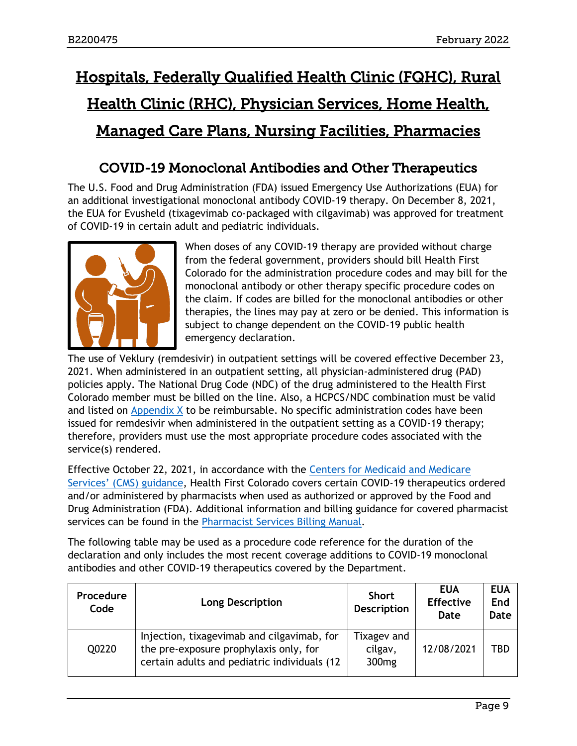# <span id="page-8-1"></span>Hospitals, Federally Qualified Health Clinic (FQHC), Rural Health Clinic (RHC), Physician Services, Home Health, Managed Care Plans, Nursing Facilities, Pharmacies

## COVID-19 Monoclonal Antibodies and Other Therapeutics

<span id="page-8-0"></span>The U.S. Food and Drug Administration (FDA) issued Emergency Use Authorizations (EUA) for an additional investigational monoclonal antibody COVID-19 therapy. On December 8, 2021, the EUA for Evusheld (tixagevimab co-packaged with cilgavimab) was approved for treatment of COVID-19 in certain adult and pediatric individuals.



When doses of any COVID-19 therapy are provided without charge from the federal government, providers should bill Health First Colorado for the administration procedure codes and may bill for the monoclonal antibody or other therapy specific procedure codes on the claim. If codes are billed for the monoclonal antibodies or other therapies, the lines may pay at zero or be denied. This information is subject to change dependent on the COVID-19 public health emergency declaration.

The use of Veklury (remdesivir) in outpatient settings will be covered effective December 23, 2021. When administered in an outpatient setting, all physician-administered drug (PAD) policies apply. The National Drug Code (NDC) of the drug administered to the Health First Colorado member must be billed on the line. Also, a HCPCS/NDC combination must be valid and listed on Appendix  $X$  to be reimbursable. No specific administration codes have been issued for remdesivir when administered in the outpatient setting as a COVID-19 therapy; therefore, providers must use the most appropriate procedure codes associated with the service(s) rendered.

Effective October 22, 2021, in accordance with the [Centers for Medicaid and Medicare](https://www.medicaid.gov/federal-policy-guidance/downloads/sho102221.pdf)  Services' ([CMS\) guidance,](https://www.medicaid.gov/federal-policy-guidance/downloads/sho102221.pdf) Health First Colorado covers certain COVID-19 therapeutics ordered and/or administered by pharmacists when used as authorized or approved by the Food and Drug Administration (FDA). Additional information and billing guidance for covered pharmacist services can be found in the [Pharmacist Services Billing Manual.](https://hcpf.colorado.gov/pharm-serv)

The following table may be used as a procedure code reference for the duration of the declaration and only includes the most recent coverage additions to COVID-19 monoclonal antibodies and other COVID-19 therapeutics covered by the Department.

| Procedure<br>Code | <b>Long Description</b>                                                                                                              | <b>Short</b><br><b>Description</b>          | <b>EUA</b><br><b>Effective</b><br>Date | <b>EUA</b><br>End<br><b>Date</b> |
|-------------------|--------------------------------------------------------------------------------------------------------------------------------------|---------------------------------------------|----------------------------------------|----------------------------------|
| Q0220             | Injection, tixagevimab and cilgavimab, for<br>the pre-exposure prophylaxis only, for<br>certain adults and pediatric individuals (12 | Tixagev and<br>cilgav,<br>300 <sub>mg</sub> | 12/08/2021                             | TBD                              |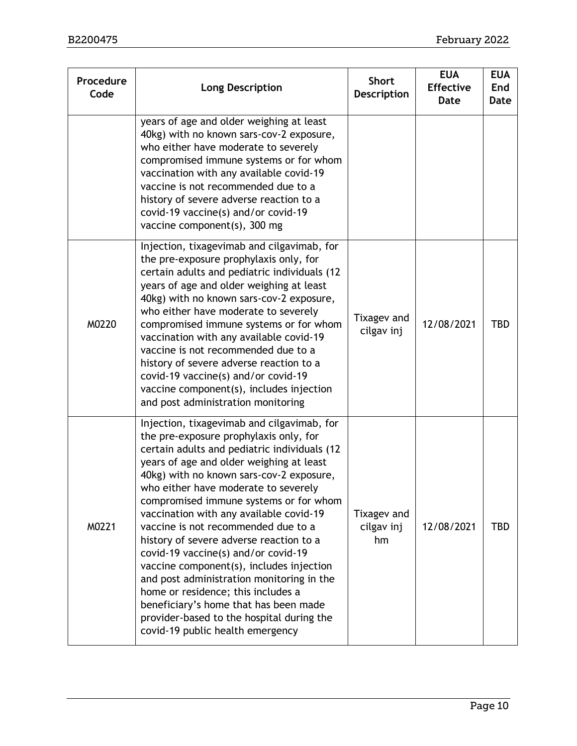| Procedure<br>Code | <b>Long Description</b>                                                                                                                                                                                                                                                                                                                                                                                                                                                                                                                                                                                                                                                                                                                     | <b>Short</b><br><b>Description</b> | <b>EUA</b><br><b>Effective</b><br><b>Date</b> | <b>EUA</b><br>End<br><b>Date</b> |
|-------------------|---------------------------------------------------------------------------------------------------------------------------------------------------------------------------------------------------------------------------------------------------------------------------------------------------------------------------------------------------------------------------------------------------------------------------------------------------------------------------------------------------------------------------------------------------------------------------------------------------------------------------------------------------------------------------------------------------------------------------------------------|------------------------------------|-----------------------------------------------|----------------------------------|
|                   | years of age and older weighing at least<br>40kg) with no known sars-cov-2 exposure,<br>who either have moderate to severely<br>compromised immune systems or for whom<br>vaccination with any available covid-19<br>vaccine is not recommended due to a<br>history of severe adverse reaction to a<br>covid-19 vaccine(s) and/or covid-19<br>vaccine component(s), 300 mg                                                                                                                                                                                                                                                                                                                                                                  |                                    |                                               |                                  |
| M0220             | Injection, tixagevimab and cilgavimab, for<br>the pre-exposure prophylaxis only, for<br>certain adults and pediatric individuals (12<br>years of age and older weighing at least<br>40kg) with no known sars-cov-2 exposure,<br>who either have moderate to severely<br>compromised immune systems or for whom<br>vaccination with any available covid-19<br>vaccine is not recommended due to a<br>history of severe adverse reaction to a<br>covid-19 vaccine(s) and/or covid-19<br>vaccine component(s), includes injection<br>and post administration monitoring                                                                                                                                                                        | Tixagev and<br>cilgav inj          | 12/08/2021                                    | <b>TBD</b>                       |
| M0221             | Injection, tixagevimab and cilgavimab, for<br>the pre-exposure prophylaxis only, for<br>certain adults and pediatric individuals (12<br>years of age and older weighing at least<br>40kg) with no known sars-cov-2 exposure,<br>who either have moderate to severely<br>compromised immune systems or for whom<br>vaccination with any available covid-19<br>vaccine is not recommended due to a<br>history of severe adverse reaction to a<br>covid-19 vaccine(s) and/or covid-19<br>vaccine component(s), includes injection<br>and post administration monitoring in the<br>home or residence; this includes a<br>beneficiary's home that has been made<br>provider-based to the hospital during the<br>covid-19 public health emergency | Tixagev and<br>cilgav inj<br>hm    | 12/08/2021                                    | <b>TBD</b>                       |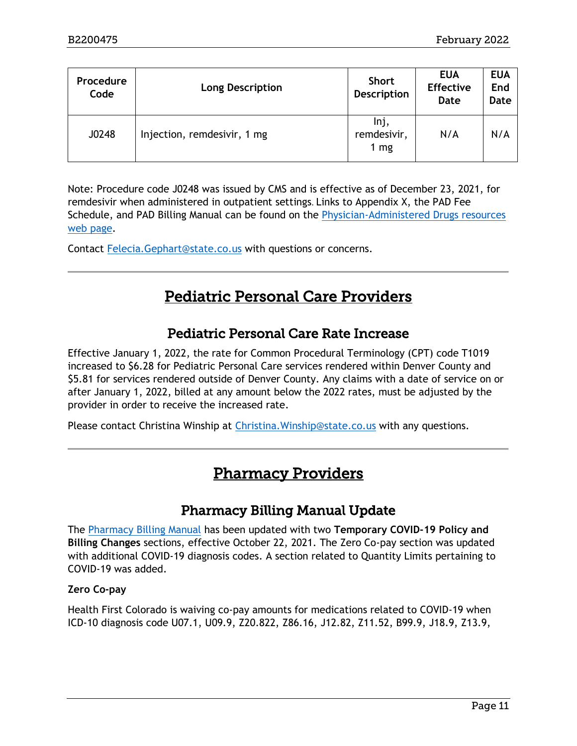| <b>Procedure</b><br>Code | <b>Long Description</b>     | <b>Short</b><br><b>Description</b> | <b>EUA</b><br><b>Effective</b><br>Date | <b>EUA</b><br>End<br><b>Date</b> |
|--------------------------|-----------------------------|------------------------------------|----------------------------------------|----------------------------------|
| J0248                    | Injection, remdesivir, 1 mg | Inj,<br>remdesivir,<br>1 $mg$      | N/A                                    | N/A                              |

Note: Procedure code J0248 was issued by CMS and is effective as of December 23, 2021, for remdesivir when administered in outpatient settings. Links to Appendix X, the PAD Fee Schedule, and PAD Billing Manual can be found on the [Physician-Administered Drugs resources](https://hcpf.colorado.gov/physician-administered-drugs)  [web page.](https://hcpf.colorado.gov/physician-administered-drugs)

<span id="page-10-2"></span>Contact [Felecia.Gephart@state.co.us](mailto:Felecia.Gephart@state.co.us) with questions or concerns.

# Pediatric Personal Care Providers

#### Pediatric Personal Care Rate Increase

<span id="page-10-0"></span>Effective January 1, 2022, the rate for Common Procedural Terminology (CPT) code T1019 increased to \$6.28 for Pediatric Personal Care services rendered within Denver County and \$5.81 for services rendered outside of Denver County. Any claims with a date of service on or after January 1, 2022, billed at any amount below the 2022 rates, must be adjusted by the provider in order to receive the increased rate.

<span id="page-10-3"></span>Please contact Christina Winship at [Christina.Winship@state.co.us](mailto:Christina.Winship@state.co.us) with any questions.

# Pharmacy Providers

#### Pharmacy Billing Manual Update

<span id="page-10-1"></span>The [Pharmacy Billing Manual](https://hcpf.colorado.gov/pharmacy-resources) has been updated with two **Temporary COVID-19 Policy and Billing Changes** sections, effective October 22, 2021. The Zero Co-pay section was updated with additional COVID-19 diagnosis codes. A section related to Quantity Limits pertaining to COVID-19 was added.

#### **Zero Co-pay**

Health First Colorado is waiving co-pay amounts for medications related to COVID-19 when ICD-10 diagnosis code U07.1, U09.9, Z20.822, Z86.16, J12.82, Z11.52, B99.9, J18.9, Z13.9,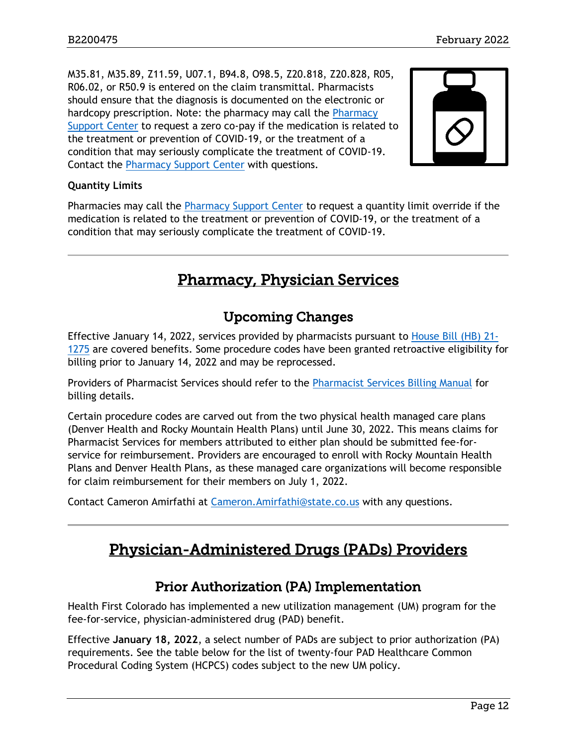M35.81, M35.89, Z11.59, U07.1, B94.8, O98.5, Z20.818, Z20.828, R05, R06.02, or R50.9 is entered on the claim transmittal. Pharmacists should ensure that the diagnosis is documented on the electronic or hardcopy prescription. Note: the pharmacy may call the Pharmacy [Support Center](https://hcpf.colorado.gov/provider-help#pharmDesk) to request a zero co-pay if the medication is related to the treatment or prevention of COVID-19, or the treatment of a condition that may seriously complicate the treatment of COVID-19. Contact the [Pharmacy Support Center](https://hcpf.colorado.gov/provider-help#pharmDesk) with questions.



#### **Quantity Limits**

Pharmacies may call the [Pharmacy Support Center](https://hcpf.colorado.gov/provider-help#pharmDesk) to request a quantity limit override if the medication is related to the treatment or prevention of COVID-19, or the treatment of a condition that may seriously complicate the treatment of COVID-19.

# Pharmacy, Physician Services

#### Upcoming Changes

<span id="page-11-2"></span><span id="page-11-0"></span>Effective January 14, 2022, services provided by pharmacists pursuant to [House Bill \(HB\) 21-](https://www.statebillinfo.com/bills/bills/21/2021a_1275_signed.pdf) [1275](https://www.statebillinfo.com/bills/bills/21/2021a_1275_signed.pdf) are covered benefits. Some procedure codes have been granted retroactive eligibility for billing prior to January 14, 2022 and may be reprocessed.

Providers of Pharmacist Services should refer to the [Pharmacist Services Billing Manual](https://hcpf.colorado.gov/pharm-serv) for billing details.

Certain procedure codes are carved out from the two physical health managed care plans (Denver Health and Rocky Mountain Health Plans) until June 30, 2022. This means claims for Pharmacist Services for members attributed to either plan should be submitted fee-forservice for reimbursement. Providers are encouraged to enroll with Rocky Mountain Health Plans and Denver Health Plans, as these managed care organizations will become responsible for claim reimbursement for their members on July 1, 2022.

<span id="page-11-3"></span>Contact Cameron Amirfathi at [Cameron.Amirfathi@state.co.us](mailto:Cameron.Amirfathi@state.co.us) with any questions.

# Physician-Administered Drugs (PADs) Providers

#### Prior Authorization (PA) Implementation

<span id="page-11-1"></span>Health First Colorado has implemented a new utilization management (UM) program for the fee-for-service, physician-administered drug (PAD) benefit.

Effective **January 18, 2022**, a select number of PADs are subject to prior authorization (PA) requirements. See the table below for the list of twenty-four PAD Healthcare Common Procedural Coding System (HCPCS) codes subject to the new UM policy.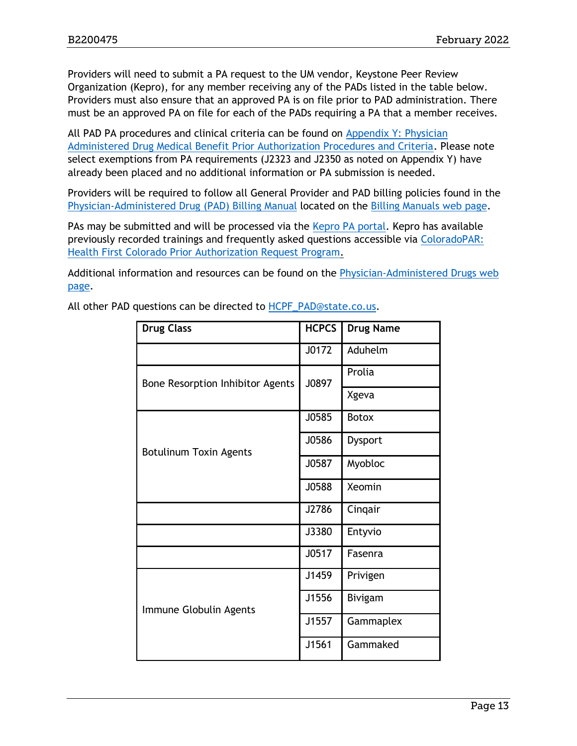Providers will need to submit a PA request to the UM vendor, Keystone Peer Review Organization (Kepro), for any member receiving any of the PADs listed in the table below. Providers must also ensure that an approved PA is on file prior to PAD administration. There must be an approved PA on file for each of the PADs requiring a PA that a member receives.

All PAD PA procedures and clinical criteria can be found on [Appendix Y: Physician](https://hcpf.colorado.gov/physician-administered-drugs)  [Administered Drug Medical Benefit Prior Authorization Procedures and Criteria.](https://hcpf.colorado.gov/physician-administered-drugs) Please note select exemptions from PA requirements (J2323 and J2350 as noted on Appendix Y) have already been placed and no additional information or PA submission is needed.

Providers will be required to follow all General Provider and PAD billing policies found in the [Physician-Administered Drug \(PAD\) Billing Manual](https://hcpf.colorado.gov/pad-manual) located on the [Billing Manuals web page.](https://hcpf.colorado.gov/billing-manuals)

PAs may be submitted and will be processed via the [Kepro PA portal.](https://portal.kepro.com/) Kepro has available previously recorded trainings and frequently asked questions accessible via [ColoradoPAR:](https://hcpf.colorado.gov/par)  [Health First Colorado Prior Authorization Request Program.](https://hcpf.colorado.gov/par)

Additional information and resources can be found on the [Physician-Administered Drugs web](https://hcpf.colorado.gov/physician-administered-drugs)  [page.](https://hcpf.colorado.gov/physician-administered-drugs)

| <b>Drug Class</b>                | <b>HCPCS</b> | <b>Drug Name</b> |
|----------------------------------|--------------|------------------|
|                                  | J0172        | Aduhelm          |
| Bone Resorption Inhibitor Agents | J0897        | Prolia           |
|                                  |              | Xgeva            |
|                                  | J0585        | <b>Botox</b>     |
| <b>Botulinum Toxin Agents</b>    | J0586        | Dysport          |
|                                  | J0587        | Myobloc          |
|                                  | J0588        | Xeomin           |
|                                  | J2786        | Cinqair          |
|                                  | J3380        | Entyvio          |
|                                  | J0517        | Fasenra          |
|                                  | J1459        | Privigen         |
| Immune Globulin Agents           | J1556        | <b>Bivigam</b>   |
|                                  | J1557        | Gammaplex        |
|                                  | J1561        | Gammaked         |

All other PAD questions can be directed to [HCPF\\_PAD@state.co.us.](mailto:HCPF_PAD@state.co.us)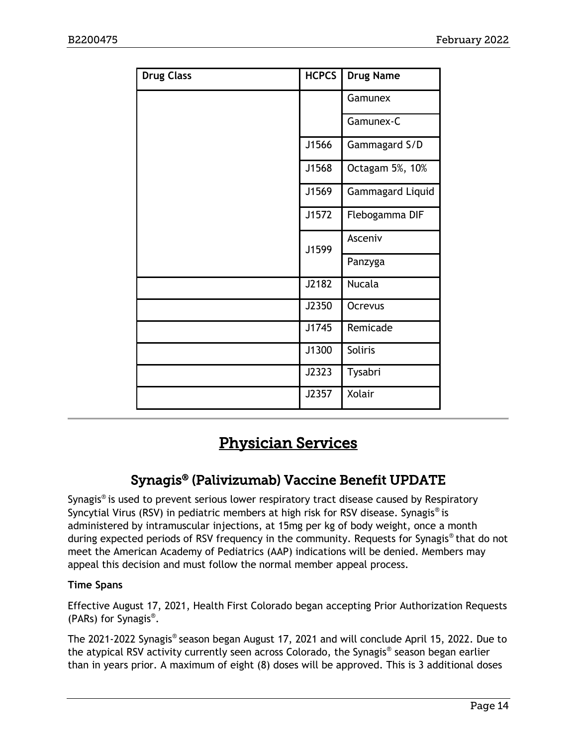| <b>Drug Class</b> | <b>HCPCS</b> | <b>Drug Name</b>        |
|-------------------|--------------|-------------------------|
|                   |              | Gamunex                 |
|                   |              | Gamunex-C               |
|                   | J1566        | Gammagard S/D           |
|                   | J1568        | Octagam 5%, 10%         |
|                   | J1569        | <b>Gammagard Liquid</b> |
|                   | J1572        | Flebogamma DIF          |
|                   | J1599        | Asceniv                 |
|                   |              | Panzyga                 |
|                   | J2182        | <b>Nucala</b>           |
|                   | J2350        | <b>Ocrevus</b>          |
|                   | J1745        | Remicade                |
|                   | J1300        | Soliris                 |
|                   | J2323        | Tysabri                 |
|                   | J2357        | Xolair                  |

# Physician Services

# Synagis® (Palivizumab) Vaccine Benefit UPDATE

<span id="page-13-1"></span><span id="page-13-0"></span>Synagis® is used to prevent serious lower respiratory tract disease caused by Respiratory Syncytial Virus (RSV) in pediatric members at high risk for RSV disease. Synagis® is administered by intramuscular injections, at 15mg per kg of body weight, once a month during expected periods of RSV frequency in the community. Requests for Synagis® that do not meet the American Academy of Pediatrics (AAP) indications will be denied. Members may appeal this decision and must follow the normal member appeal process.

#### **Time Spans**

Effective August 17, 2021, Health First Colorado began accepting Prior Authorization Requests (PARs) for Synagis® .

The 2021-2022 Synagis® season began August 17, 2021 and will conclude April 15, 2022. Due to the atypical RSV activity currently seen across Colorado, the Synagis® season began earlier than in years prior. A maximum of eight (8) doses will be approved. This is 3 additional doses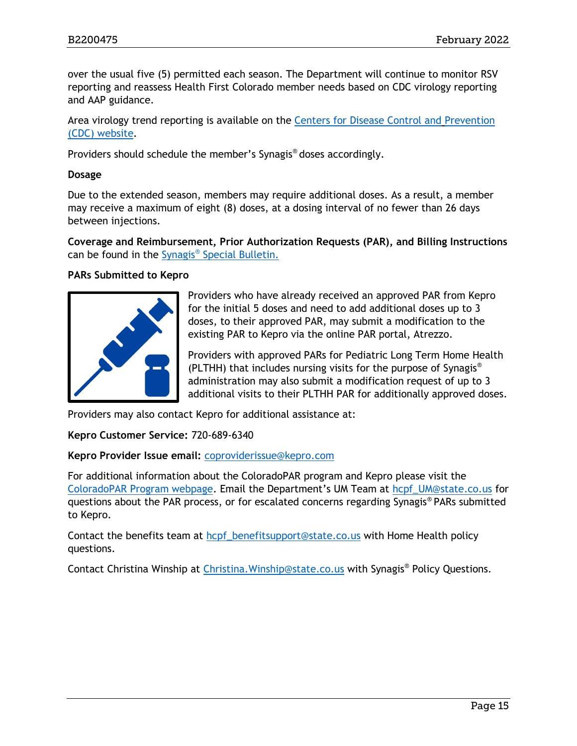over the usual five (5) permitted each season. The Department will continue to monitor RSV reporting and reassess Health First Colorado member needs based on CDC virology reporting and AAP guidance.

Area virology trend reporting is available on the [Centers for Disease Control and](http://www.cdc.gov/) [Prevention](http://www.cdc.gov/)  [\(CDC\) website.](http://www.cdc.gov/)

Providers should schedule the member's Synagis® doses accordingly.

#### **Dosage**

Due to the extended season, members may require additional doses. As a result, a member may receive a maximum of eight (8) doses, at a dosing interval of no fewer than 26 days between injections.

**Coverage and Reimbursement, Prior Authorization Requests (PAR), and Billing Instructions**  can be found in the Synagis<sup>®</sup> [Special Bulletin.](https://hcpf.colorado.gov/sites/hcpf/files/Bulletin_0821_B2100467.pdf)

#### **PARs Submitted to Kepro**



Providers who have already received an approved PAR from Kepro for the initial 5 doses and need to add additional doses up to 3 doses, to their approved PAR, may submit a modification to the existing PAR to Kepro via the online PAR portal, Atrezzo.

Providers with approved PARs for Pediatric Long Term Home Health (PLTHH) that includes nursing visits for the purpose of Synagis® administration may also submit a modification request of up to 3 additional visits to their PLTHH PAR for additionally approved doses.

Providers may also contact Kepro for additional assistance at:

**Kepro Customer Service:** 720-689-6340

**Kepro Provider Issue email:** [coproviderissue@kepro.com](mailto:coproviderissue@kepro.com)

For additional information about the ColoradoPAR program and Kepro please visit the [ColoradoPAR Program webpage](https://hcpf.colorado.gov/par). Email the Department's UM Team at [hcpf\\_UM@state.co.us](mailto:hcpf_UM@state.co.us) for questions about the PAR process, or for escalated concerns regarding Synagis® PARs submitted to Kepro.

Contact the benefits team at hcpf benefitsupport@state.co.us with Home Health policy questions.

Contact Christina Winship at Christina. Winship@state.co.us with Synagis® Policy Questions.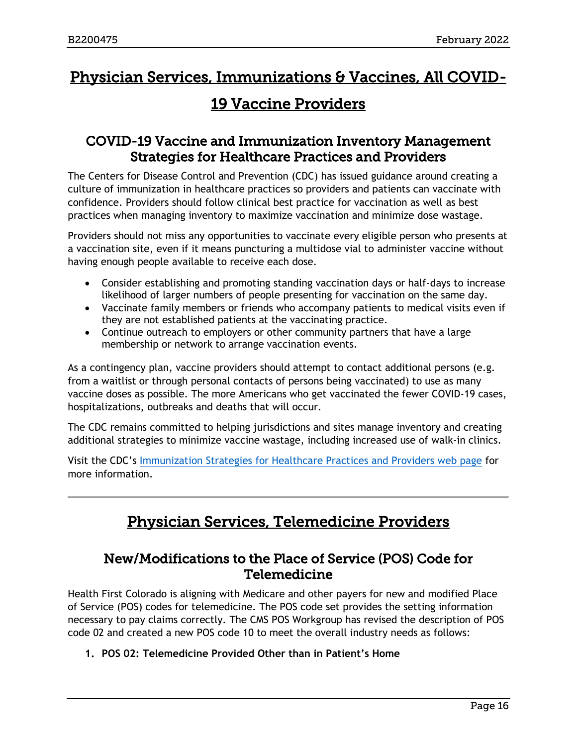# <span id="page-15-2"></span>Physician Services, Immunizations & Vaccines, All COVID-

# 19 Vaccine Providers

#### <span id="page-15-0"></span>COVID-19 Vaccine and Immunization Inventory Management Strategies for Healthcare Practices and Providers

The Centers for Disease Control and Prevention (CDC) has issued guidance around creating a culture of immunization in healthcare practices so providers and patients can vaccinate with confidence. Providers should follow clinical best practice for vaccination as well as best practices when managing inventory to maximize vaccination and minimize dose wastage.

Providers should not miss any opportunities to vaccinate every eligible person who presents at a vaccination site, even if it means puncturing a multidose vial to administer vaccine without having enough people available to receive each dose.

- Consider establishing and promoting standing vaccination days or half-days to increase likelihood of larger numbers of people presenting for vaccination on the same day.
- Vaccinate family members or friends who accompany patients to medical visits even if they are not established patients at the vaccinating practice.
- Continue outreach to employers or other community partners that have a large membership or network to arrange vaccination events.

As a contingency plan, vaccine providers should attempt to contact additional persons (e.g. from a waitlist or through personal contacts of persons being vaccinated) to use as many vaccine doses as possible. The more Americans who get vaccinated the fewer COVID-19 cases, hospitalizations, outbreaks and deaths that will occur.

The CDC remains committed to helping jurisdictions and sites manage inventory and creating additional strategies to minimize vaccine wastage, including increased use of walk-in clinics.

<span id="page-15-3"></span>Visit the CDC's [Immunization Strategies for Healthcare Practices and Providers web page](https://www.cdc.gov/vaccines/pubs/pinkbook/strat.html) for more information.

# Physician Services, Telemedicine Providers

#### <span id="page-15-1"></span>New/Modifications to the Place of Service (POS) Code for Telemedicine

Health First Colorado is aligning with Medicare and other payers for new and modified Place of Service (POS) codes for telemedicine. The POS code set provides the setting information necessary to pay claims correctly. The CMS POS Workgroup has revised the description of POS code 02 and created a new POS code 10 to meet the overall industry needs as follows:

#### **1. POS 02: Telemedicine Provided Other than in Patient's Home**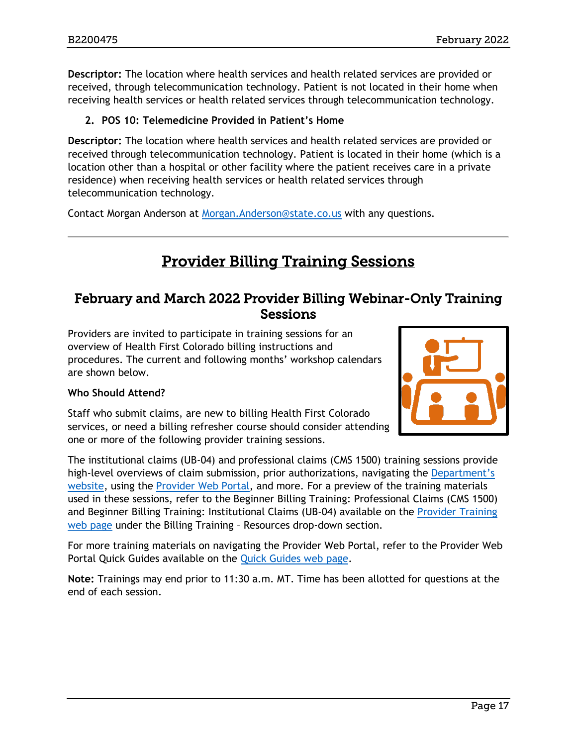**Descriptor:** The location where health services and health related services are provided or received, through telecommunication technology. Patient is not located in their home when receiving health services or health related services through telecommunication technology.

#### **2. POS 10: Telemedicine Provided in Patient's Home**

**Descriptor:** The location where health services and health related services are provided or received through telecommunication technology. Patient is located in their home (which is a location other than a hospital or other facility where the patient receives care in a private residence) when receiving health services or health related services through telecommunication technology.

<span id="page-16-1"></span>Contact Morgan Anderson at [Morgan.Anderson@state.co.us](mailto:Morgan.Anderson@state.co.us) with any questions.

# Provider Billing Training Sessions

#### <span id="page-16-0"></span>February and March 2022 Provider Billing Webinar-Only Training **Sessions**

Providers are invited to participate in training sessions for an overview of Health First Colorado billing instructions and procedures. The current and following months' workshop calendars are shown below.

#### **Who Should Attend?**

Staff who submit claims, are new to billing Health First Colorado services, or need a billing refresher course should consider attending one or more of the following provider training sessions.

The institutional claims (UB-04) and professional claims (CMS 1500) training sessions provide high-level overviews of claim submission, prior authorizations, navigating the Department's [website,](https://www.colorado.gov/hcpf/) using the [Provider Web Portal,](https://colorado-hcp-portal.xco.dcs-usps.com/hcp/provider/Home/tabid/135/Default.aspx) and more. For a preview of the training materials used in these sessions, refer to the Beginner Billing Training: Professional Claims (CMS 1500) and Beginner Billing Training: Institutional Claims (UB-04) available on the [Provider Training](https://www.colorado.gov/pacific/hcpf/provider-training)  [web page](https://www.colorado.gov/pacific/hcpf/provider-training) under the Billing Training – Resources drop-down section.

For more training materials on navigating the Provider Web Portal, refer to the Provider Web Portal Quick Guides available on the [Quick Guides web page.](https://www.colorado.gov/hcpf/interchange-resources)

**Note:** Trainings may end prior to 11:30 a.m. MT. Time has been allotted for questions at the end of each session.

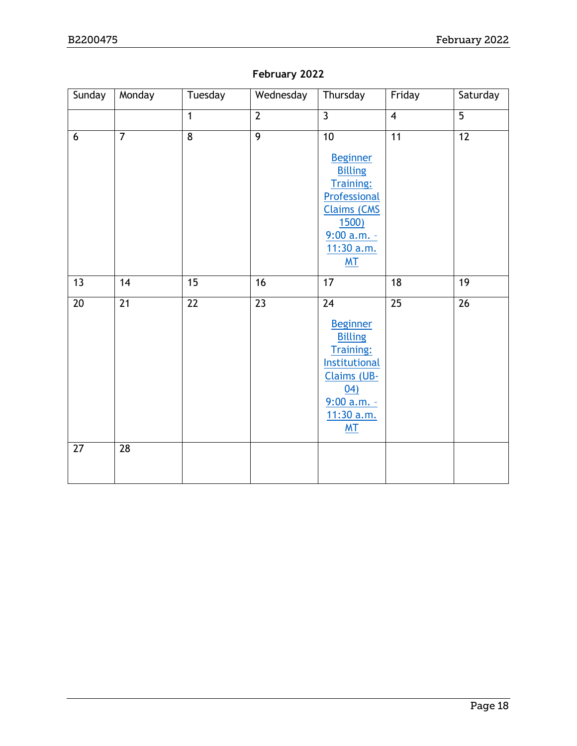#### **February 2022**

| Sunday          | Monday          | Tuesday         | Wednesday       | Thursday                                                                                                                                                               | Friday                  | Saturday        |
|-----------------|-----------------|-----------------|-----------------|------------------------------------------------------------------------------------------------------------------------------------------------------------------------|-------------------------|-----------------|
|                 |                 | $\mathbf{1}$    | $\overline{2}$  | $\overline{3}$                                                                                                                                                         | $\overline{\mathbf{4}}$ | $\overline{5}$  |
| $6\phantom{1}$  | $\overline{7}$  | $\overline{8}$  | $\overline{9}$  | 10<br><b>Beginner</b><br><b>Billing</b><br><b>Training:</b><br>Professional<br><b>Claims (CMS</b><br><b>1500)</b><br>$9:00 a.m. -$<br>11:30 a.m.<br>M <sub>T</sub>     | $\overline{11}$         | $\overline{12}$ |
| 13              | 14              | 15              | 16              | $\overline{17}$                                                                                                                                                        | 18                      | $\overline{19}$ |
| $\overline{20}$ | $\overline{21}$ | $\overline{22}$ | $\overline{23}$ | $\overline{24}$<br><b>Beginner</b><br><b>Billing</b><br>Training:<br>Institutional<br>Claims (UB-<br>$\underline{04}$<br>$9:00 a.m. -$<br>11:30 a.m.<br>M <sub>T</sub> | $\overline{25}$         | $\overline{26}$ |
| 27              | 28              |                 |                 |                                                                                                                                                                        |                         |                 |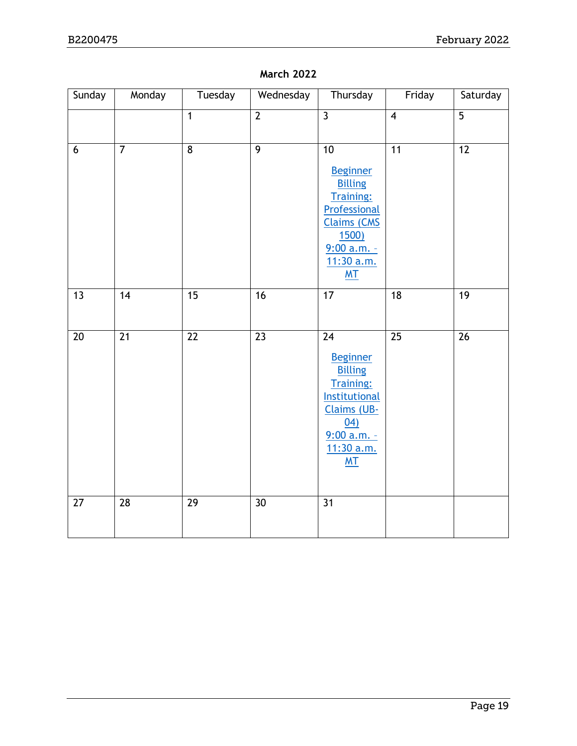#### **March 2022**

| Sunday          | Monday          | Tuesday         | Wednesday       | Thursday                                                                                                                                                          | Friday                  | Saturday        |
|-----------------|-----------------|-----------------|-----------------|-------------------------------------------------------------------------------------------------------------------------------------------------------------------|-------------------------|-----------------|
|                 |                 | $\mathbf{1}$    | $\overline{2}$  | $\overline{3}$                                                                                                                                                    | $\overline{\mathbf{4}}$ | $\overline{5}$  |
| 6               | $\overline{7}$  | $\overline{8}$  | $\overline{9}$  | 10<br><b>Beginner</b><br><b>Billing</b><br>Training:<br>Professional<br><b>Claims (CMS</b><br><b>1500)</b><br>9:00 a.m. -<br>11:30 a.m.<br>M <sub>T</sub>         | 11                      | $\overline{12}$ |
| 13              | 14              | $\overline{15}$ | $\overline{16}$ | 17                                                                                                                                                                | $\overline{18}$         | $\overline{19}$ |
| 20              | $\overline{21}$ | 22              | $\overline{23}$ | 24<br><b>Beginner</b><br><b>Billing</b><br><b>Training:</b><br><b>Institutional</b><br><b>Claims (UB-</b><br>04)<br>$9:00 a.m. -$<br>11:30 a.m.<br>M <sub>T</sub> | $\overline{25}$         | 26              |
| $\overline{27}$ | $\overline{28}$ | $\overline{29}$ | $\overline{30}$ | $\overline{31}$                                                                                                                                                   |                         |                 |